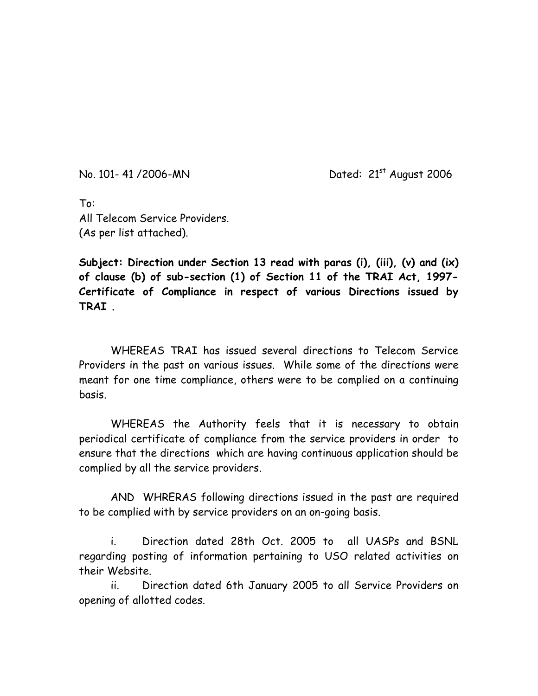No. 101- 41 /2006-MN Dated: 21st August 2006

To: All Telecom Service Providers. (As per list attached).

**Subject: Direction under Section 13 read with paras (i), (iii), (v) and (ix) of clause (b) of sub-section (1) of Section 11 of the TRAI Act, 1997- Certificate of Compliance in respect of various Directions issued by TRAI .** 

WHEREAS TRAT has issued several directions to Telecom Service Providers in the past on various issues. While some of the directions were meant for one time compliance, others were to be complied on a continuing basis.

 WHEREAS the Authority feels that it is necessary to obtain periodical certificate of compliance from the service providers in order to ensure that the directions which are having continuous application should be complied by all the service providers.

 AND WHRERAS following directions issued in the past are required to be complied with by service providers on an on-going basis.

i. Direction dated 28th Oct. 2005 to all UASPs and BSNL regarding posting of information pertaining to USO related activities on their Website.

ii. Direction dated 6th January 2005 to all Service Providers on opening of allotted codes.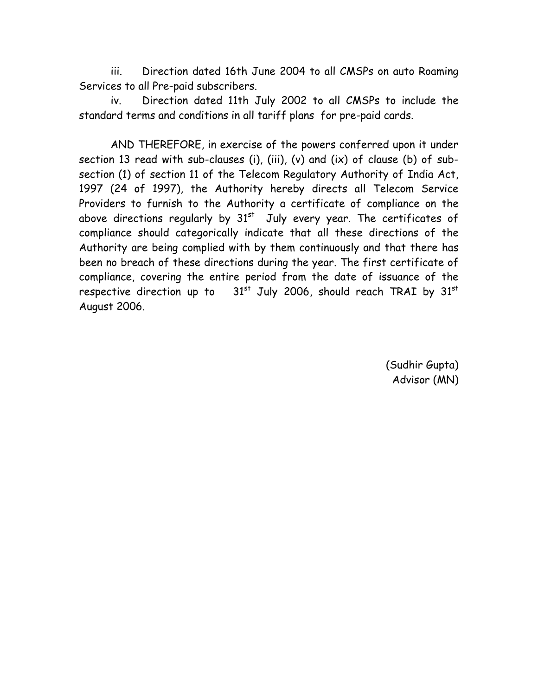iii. Direction dated 16th June 2004 to all CMSPs on auto Roaming Services to all Pre-paid subscribers.

iv. Direction dated 11th July 2002 to all CMSPs to include the standard terms and conditions in all tariff plans for pre-paid cards.

 AND THEREFORE, in exercise of the powers conferred upon it under section 13 read with sub-clauses (i), (iii), (v) and (ix) of clause (b) of subsection (1) of section 11 of the Telecom Regulatory Authority of India Act, 1997 (24 of 1997), the Authority hereby directs all Telecom Service Providers to furnish to the Authority a certificate of compliance on the above directions regularly by  $31^{st}$  July every year. The certificates of compliance should categorically indicate that all these directions of the Authority are being complied with by them continuously and that there has been no breach of these directions during the year. The first certificate of compliance, covering the entire period from the date of issuance of the respective direction up to  $31<sup>st</sup>$  July 2006, should reach TRAI by  $31<sup>st</sup>$ August 2006.

> (Sudhir Gupta) Advisor (MN)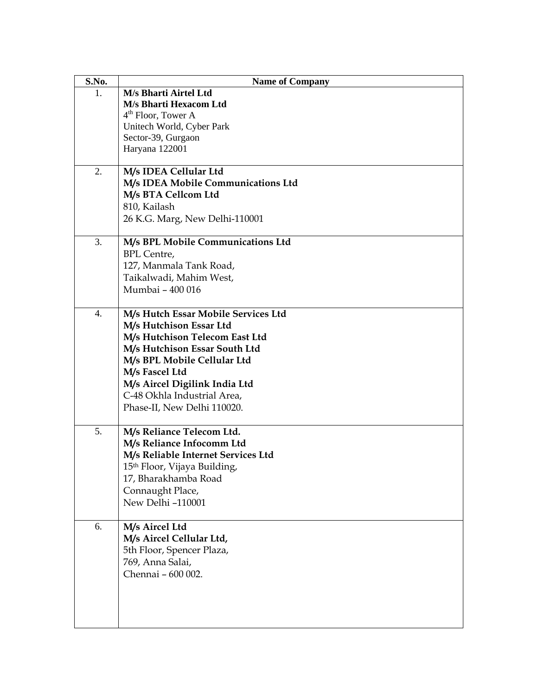| S.No. | <b>Name of Company</b>                                          |
|-------|-----------------------------------------------------------------|
| 1.    | M/s Bharti Airtel Ltd                                           |
|       | M/s Bharti Hexacom Ltd                                          |
|       | $4th$ Floor, Tower A                                            |
|       | Unitech World, Cyber Park                                       |
|       | Sector-39, Gurgaon<br>Haryana 122001                            |
|       |                                                                 |
| 2.    | M/s IDEA Cellular Ltd                                           |
|       | M/s IDEA Mobile Communications Ltd                              |
|       | M/s BTA Cellcom Ltd                                             |
|       | 810, Kailash                                                    |
|       | 26 K.G. Marg, New Delhi-110001                                  |
| 3.    | M/s BPL Mobile Communications Ltd                               |
|       | <b>BPL</b> Centre,                                              |
|       | 127, Manmala Tank Road,                                         |
|       | Taikalwadi, Mahim West,                                         |
|       | Mumbai - 400 016                                                |
|       |                                                                 |
| 4.    | M/s Hutch Essar Mobile Services Ltd                             |
|       | M/s Hutchison Essar Ltd                                         |
|       | M/s Hutchison Telecom East Ltd<br>M/s Hutchison Essar South Ltd |
|       | M/s BPL Mobile Cellular Ltd                                     |
|       | M/s Fascel Ltd                                                  |
|       | M/s Aircel Digilink India Ltd                                   |
|       | C-48 Okhla Industrial Area,                                     |
|       | Phase-II, New Delhi 110020.                                     |
|       |                                                                 |
| 5.    | M/s Reliance Telecom Ltd.                                       |
|       | M/s Reliance Infocomm Ltd                                       |
|       | M/s Reliable Internet Services Ltd                              |
|       | 15 <sup>th</sup> Floor, Vijaya Building,                        |
|       | 17, Bharakhamba Road                                            |
|       | Connaught Place,                                                |
|       | New Delhi -110001                                               |
| 6.    | M/s Aircel Ltd                                                  |
|       | M/s Aircel Cellular Ltd,                                        |
|       | 5th Floor, Spencer Plaza,                                       |
|       | 769, Anna Salai,                                                |
|       | Chennai - 600 002.                                              |
|       |                                                                 |
|       |                                                                 |
|       |                                                                 |
|       |                                                                 |